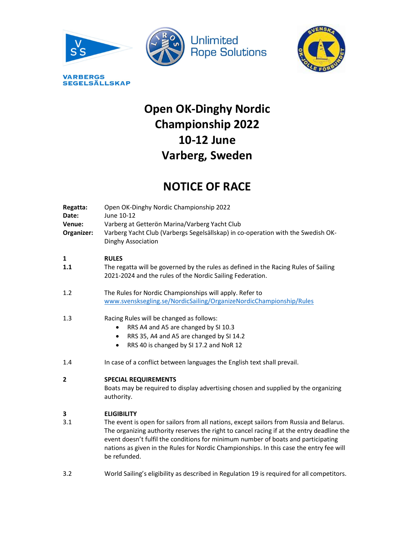





# Open OK-Dinghy Nordic Championship 2022 10-12 June

# Varberg, Sweden

# NOTICE OF RACE

| Regatta:<br>Date:<br>Venue:<br>Organizer: | Open OK-Dinghy Nordic Championship 2022<br>June 10-12<br>Varberg at Getterön Marina/Varberg Yacht Club<br>Varberg Yacht Club (Varbergs Segelsällskap) in co-operation with the Swedish OK-<br>Dinghy Association |  |
|-------------------------------------------|------------------------------------------------------------------------------------------------------------------------------------------------------------------------------------------------------------------|--|
| 1<br>1.1                                  | <b>RULES</b><br>The regatta will be governed by the rules as defined in the Racing Rules of Sailing<br>2021-2024 and the rules of the Nordic Sailing Federation.                                                 |  |
| 1.2                                       | The Rules for Nordic Championships will apply. Refer to<br>www.svensksegling.se/NordicSailing/OrganizeNordicChampionship/Rules                                                                                   |  |
| 1.3                                       | Racing Rules will be changed as follows:<br>RRS A4 and A5 are changed by SI 10.3<br>$\bullet$<br>RRS 35, A4 and A5 are changed by SI 14.2<br>$\bullet$<br>RRS 40 is changed by SI 17.2 and NoR 12<br>$\bullet$   |  |
| 1.4                                       | In case of a conflict between languages the English text shall prevail.                                                                                                                                          |  |
| $\overline{2}$                            | <b>SPECIAL REQUIREMENTS</b><br>Boats may be required to display advertising chosen and supplied by the organizing<br>authority.                                                                                  |  |
| 3                                         | <b>ELIGIBILITY</b>                                                                                                                                                                                               |  |

- 3.1 The event is open for sailors from all nations, except sailors from Russia and Belarus. The organizing authority reserves the right to cancel racing if at the entry deadline the event doesn't fulfil the conditions for minimum number of boats and participating nations as given in the Rules for Nordic Championships. In this case the entry fee will be refunded.
- 3.2 World Sailing's eligibility as described in Regulation 19 is required for all competitors.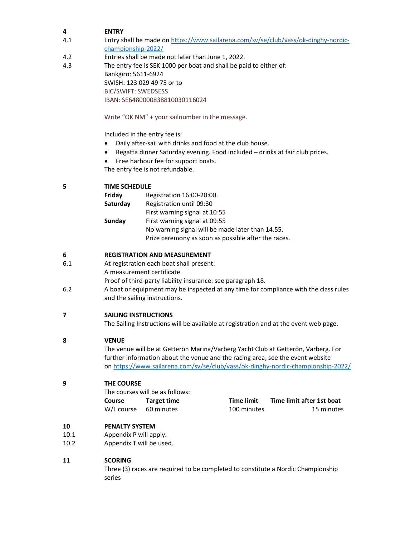# 4 ENTRY

- 4.1 Entry shall be made on https://www.sailarena.com/sv/se/club/vass/ok-dinghy-nordicchampionship-2022/
- 4.2 Entries shall be made not later than June 1, 2022.
- 4.3 The entry fee is SEK 1000 per boat and shall be paid to either of: Bankgiro: 5611-6924 SWISH: 123 029 49 75 or to BIC/SWIFT: SWEDSESS IBAN: SE6480000838810030116024

Write "OK NM" + your sailnumber in the message.

Included in the entry fee is:

- Daily after-sail with drinks and food at the club house.
- Regatta dinner Saturday evening. Food included drinks at fair club prices.
- Free harbour fee for support boats.

The entry fee is not refundable.

# 5 TIME SCHEDULE

| Friday   | Registration 16:00-20:00.                           |
|----------|-----------------------------------------------------|
| Saturday | Registration until 09:30                            |
|          | First warning signal at 10:55                       |
| Sunday   | First warning signal at 09:55                       |
|          | No warning signal will be made later than 14.55.    |
|          | Prize ceremony as soon as possible after the races. |

# 6 REGISTRATION AND MEASUREMENT

- 6.1 At registration each boat shall present:
	- A measurement certificate.

Proof of third-party liability insurance: see paragraph 18.

6.2 A boat or equipment may be inspected at any time for compliance with the class rules and the sailing instructions.

# 7 SAILING INSTRUCTIONS

The Sailing Instructions will be available at registration and at the event web page.

# 8 VENUE

The venue will be at Getterön Marina/Varberg Yacht Club at Getterön, Varberg. For further information about the venue and the racing area, see the event website on https://www.sailarena.com/sv/se/club/vass/ok-dinghy-nordic-championship-2022/

# 9 THE COURSE

The courses will be as follows: Course Target time W/L course 60 minutes

| <b>Time limit</b> | Time limit after 1st boat |
|-------------------|---------------------------|
| 100 minutes       | 15 minutes                |

# 10 PENALTY SYSTEM

- 10.1 Appendix P will apply.
- 10.2 Appendix T will be used.

# 11 SCORING

 Three (3) races are required to be completed to constitute a Nordic Championship series